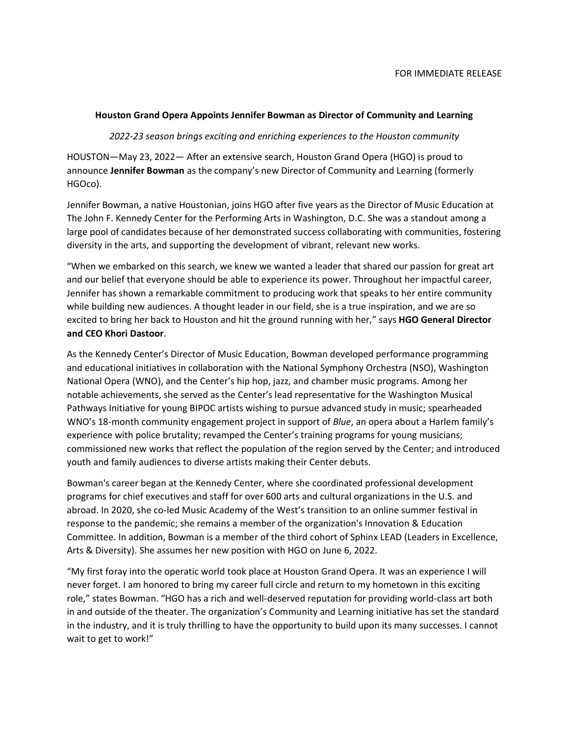## **Houston Grand Opera Appoints Jennifer Bowman as Director of Community and Learning**

## *2022-23 season brings exciting and enriching experiences to the Houston community*

HOUSTON—May 23, 2022— After an extensive search, Houston Grand Opera (HGO) is proud to announce **Jennifer Bowman** as the company's new Director of Community and Learning (formerly HGOco).

Jennifer Bowman, a native Houstonian, joins HGO after five years as the Director of Music Education at The John F. Kennedy Center for the Performing Arts in Washington, D.C. She was a standout among a large pool of candidates because of her demonstrated success collaborating with communities, fostering diversity in the arts, and supporting the development of vibrant, relevant new works.

"When we embarked on this search, we knew we wanted a leader that shared our passion for great art and our belief that everyone should be able to experience its power. Throughout her impactful career, Jennifer has shown a remarkable commitment to producing work that speaks to her entire community while building new audiences. A thought leader in our field, she is a true inspiration, and we are so excited to bring her back to Houston and hit the ground running with her," says **HGO General Director and CEO Khori Dastoor**.

As the Kennedy Center's Director of Music Education, Bowman developed performance programming and educational initiatives in collaboration with the National Symphony Orchestra (NSO), Washington National Opera (WNO), and the Center's hip hop, jazz, and chamber music programs. Among her notable achievements, she served as the Center's lead representative for the Washington Musical Pathways Initiative for young BIPOC artists wishing to pursue advanced study in music; spearheaded WNO's 18-month community engagement project in support of *Blue*, an opera about a Harlem family's experience with police brutality; revamped the Center's training programs for young musicians; commissioned new works that reflect the population of the region served by the Center; and introduced youth and family audiences to diverse artists making their Center debuts.

Bowman's career began at the Kennedy Center, where she coordinated professional development programs for chief executives and staff for over 600 arts and cultural organizations in the U.S. and abroad. In 2020, she co-led Music Academy of the West's transition to an online summer festival in response to the pandemic; she remains a member of the organization's Innovation & Education Committee. In addition, Bowman is a member of the third cohort of Sphinx LEAD (Leaders in Excellence, Arts & Diversity). She assumes her new position with HGO on June 6, 2022.

"My first foray into the operatic world took place at Houston Grand Opera. It was an experience I will never forget. I am honored to bring my career full circle and return to my hometown in this exciting role," states Bowman. "HGO has a rich and well-deserved reputation for providing world-class art both in and outside of the theater. The organization's Community and Learning initiative has set the standard in the industry, and it is truly thrilling to have the opportunity to build upon its many successes. I cannot wait to get to work!"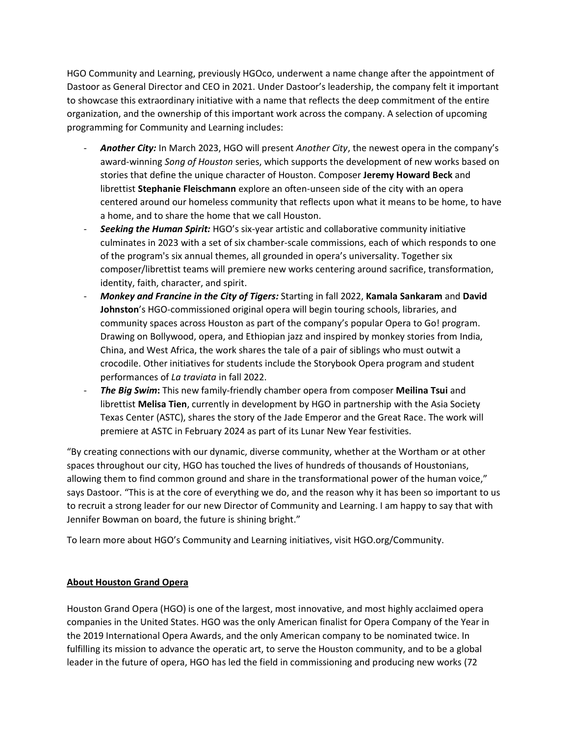HGO Community and Learning, previously HGOco, underwent a name change after the appointment of Dastoor as General Director and CEO in 2021. Under Dastoor's leadership, the company felt it important to showcase this extraordinary initiative with a name that reflects the deep commitment of the entire organization, and the ownership of this important work across the company. A selection of upcoming programming for Community and Learning includes:

- *Another City:* In March 2023, HGO will present *Another City*, the newest opera in the company's award-winning *Song of Houston* series, which supports the development of new works based on stories that define the unique character of Houston. Composer **Jeremy Howard Beck** and librettist **Stephanie Fleischmann** explore an often-unseen side of the city with an opera centered around our homeless community that reflects upon what it means to be home, to have a home, and to share the home that we call Houston.
- *Seeking the Human Spirit:* HGO's six-year artistic and collaborative community initiative culminates in 2023 with a set of six chamber-scale commissions, each of which responds to one of the program's six annual themes, all grounded in opera's universality. Together six composer/librettist teams will premiere new works centering around sacrifice, transformation, identity, faith, character, and spirit.
- *Monkey and Francine in the City of Tigers:* Starting in fall 2022, **Kamala Sankaram** and **David Johnston**'s HGO-commissioned original opera will begin touring schools, libraries, and community spaces across Houston as part of the company's popular Opera to Go! program. Drawing on Bollywood, opera, and Ethiopian jazz and inspired by monkey stories from India, China, and West Africa, the work shares the tale of a pair of siblings who must outwit a crocodile. Other initiatives for students include the Storybook Opera program and student performances of *La traviata* in fall 2022.
- *The Big Swim***:** This new family-friendly chamber opera from composer **Meilina Tsui** and librettist **Melisa Tien**, currently in development by HGO in partnership with the Asia Society Texas Center (ASTC), shares the story of the Jade Emperor and the Great Race. The work will premiere at ASTC in February 2024 as part of its Lunar New Year festivities.

"By creating connections with our dynamic, diverse community, whether at the Wortham or at other spaces throughout our city, HGO has touched the lives of hundreds of thousands of Houstonians, allowing them to find common ground and share in the transformational power of the human voice," says Dastoor. "This is at the core of everything we do, and the reason why it has been so important to us to recruit a strong leader for our new Director of Community and Learning. I am happy to say that with Jennifer Bowman on board, the future is shining bright."

To learn more about HGO's Community and Learning initiatives, visit HGO.org/Community.

## **About Houston Grand Opera**

Houston Grand Opera (HGO) is one of the largest, most innovative, and most highly acclaimed opera companies in the United States. HGO was the only American finalist for Opera Company of the Year in the 2019 International Opera Awards, and the only American company to be nominated twice. In fulfilling its mission to advance the operatic art, to serve the Houston community, and to be a global leader in the future of opera, HGO has led the field in commissioning and producing new works (72